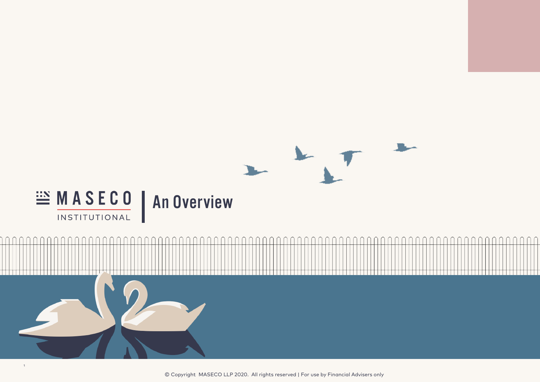

1

© Copyright MASECO LLP 2020. All rights reserved | For use by Financial Advisers only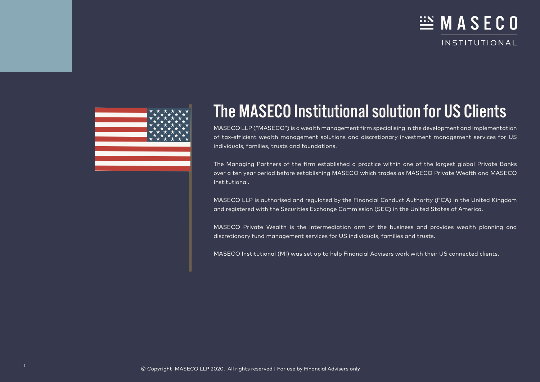### $\cong$  MASECO INSTITUTIONAL



# The MASECO Institutional solution for US Clients

MASECO LLP ("MASECO") is a wealth management firm specialising in the development and implementation of tax-efficient wealth management solutions and discretionary investment management services for US individuals, families, trusts and foundations.

The Managing Partners of the firm established a practice within one of the largest global Private Banks over a ten year period before establishing MASECO which trades as MASECO Private Wealth and MASECO Institutional.

MASECO LLP is authorised and regulated by the Financial Conduct Authority (FCA) in the United Kingdom and registered with the Securities Exchange Commission (SEC) in the United States of America.

MASECO Private Wealth is the intermediation arm of the business and provides wealth planning and discretionary fund management services for US individuals, families and trusts.

MASECO Institutional (MI) was set up to help Financial Advisers work with their US connected clients.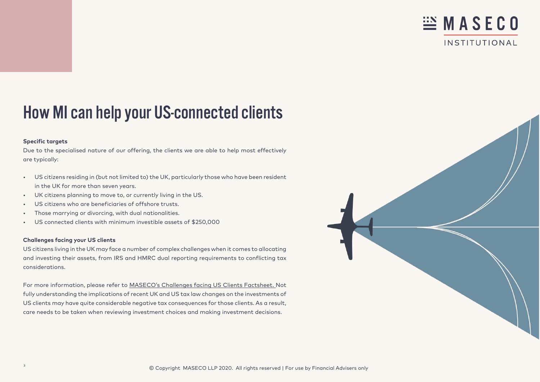INSTITUTIONAL

**EMASECO** 

## How MI can help your US-connected clients

### **Specific targets**

Due to the specialised nature of our offering, the clients we are able to help most effectively are typically:

- US citizens residing in (but not limited to) the UK, particularly those who have been resident in the UK for more than seven years.
- UK citizens planning to move to, or currently living in the US.
- US citizens who are beneficiaries of offshore trusts.
- Those marrying or divorcing, with dual nationalities.
- US connected clients with minimum investible assets of \$250,000

### **Challenges facing your US clients**

US citizens living in the UK may face a number of complex challenges when it comes to allocating and investing their assets, from IRS and HMRC dual reporting requirements to conflicting tax considerations.

For more information, please refer to MASECO's Challenges facing US Clients Factsheet. Not fully understanding the implications of recent UK and US tax law changes on the investments of US clients may have quite considerable negative tax consequences for those clients. As a result, care needs to be taken when reviewing investment choices and making investment decisions.

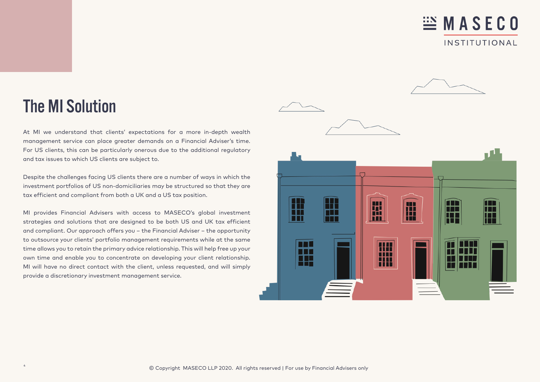### **EMASECO** INSTITUTIONAL



At MI we understand that clients' expectations for a more in-depth wealth management service can place greater demands on a Financial Adviser's time. For US clients, this can be particularly onerous due to the additional regulatory and tax issues to which US clients are subject to.

Despite the challenges facing US clients there are a number of ways in which the investment portfolios of US non-domiciliaries may be structured so that they are tax efficient and compliant from both a UK and a US tax position.

MI provides Financial Advisers with access to MASECO's global investment strategies and solutions that are designed to be both US and UK tax efficient and compliant. Our approach offers you – the Financial Adviser – the opportunity to outsource your clients' portfolio management requirements while at the same time allows you to retain the primary advice relationship. This will help free up your own time and enable you to concentrate on developing your client relationship. MI will have no direct contact with the client, unless requested, and will simply provide a discretionary investment management service.

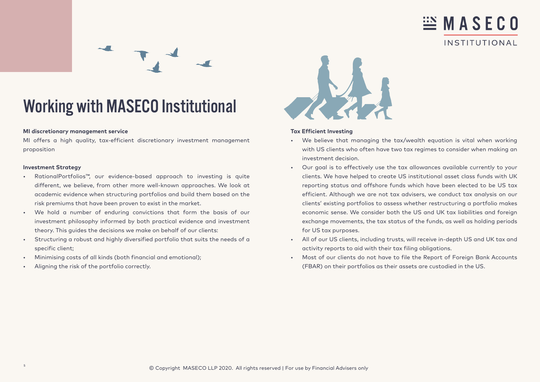### $\cong$  MASECO INSTITUTIONAL



# Working with MASECO Institutional

#### **MI discretionary management service**

MI offers a high quality, tax-efficient discretionary investment management proposition

### **Investment Strategy**

- RationalPortfolios™, our evidence-based approach to investing is quite different, we believe, from other more well-known approaches. We look at academic evidence when structuring portfolios and build them based on the risk premiums that have been proven to exist in the market.
- We hold a number of enduring convictions that form the basis of our investment philosophy informed by both practical evidence and investment theory. This guides the decisions we make on behalf of our clients:
- Structuring a robust and highly diversified portfolio that suits the needs of a specific client;
- Minimising costs of all kinds (both financial and emotional);
- Aligning the risk of the portfolio correctly.



#### **Tax Efficient Investing**

- We believe that managing the tax/wealth equation is vital when working with US clients who often have two tax regimes to consider when making an investment decision.
- Our goal is to effectively use the tax allowances available currently to your clients. We have helped to create US institutional asset class funds with UK reporting status and offshore funds which have been elected to be US tax efficient. Although we are not tax advisers, we conduct tax analysis on our clients' existing portfolios to assess whether restructuring a portfolio makes economic sense. We consider both the US and UK tax liabilities and foreign exchange movements, the tax status of the funds, as well as holding periods for US tax purposes.
- All of our US clients, including trusts, will receive in-depth US and UK tax and activity reports to aid with their tax filing obligations.
- Most of our clients do not have to file the Report of Foreign Bank Accounts (FBAR) on their portfolios as their assets are custodied in the US.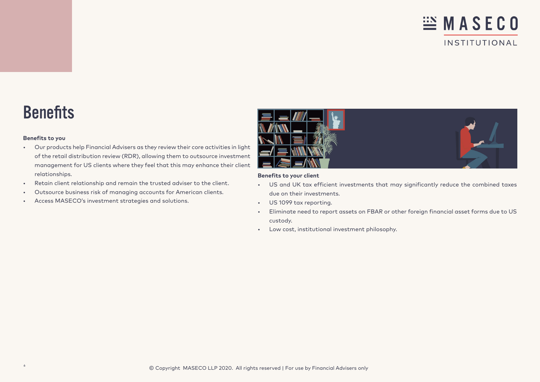### **EMASECO** INSTITUTIONAL

## **Benefits**

### **Benefits to you**

- Our products help Financial Advisers as they review their core activities in light of the retail distribution review (RDR), allowing them to outsource investment management for US clients where they feel that this may enhance their client relationships.
- Retain client relationship and remain the trusted adviser to the client.
- Outsource business risk of managing accounts for American clients.
- Access MASECO's investment strategies and solutions.



### **Benefits to your client**

- US and UK tax efficient investments that may significantly reduce the combined taxes due on their investments.
- US 1099 tax reporting.
- Eliminate need to report assets on FBAR or other foreign financial asset forms due to US custody.
- Low cost, institutional investment philosophy.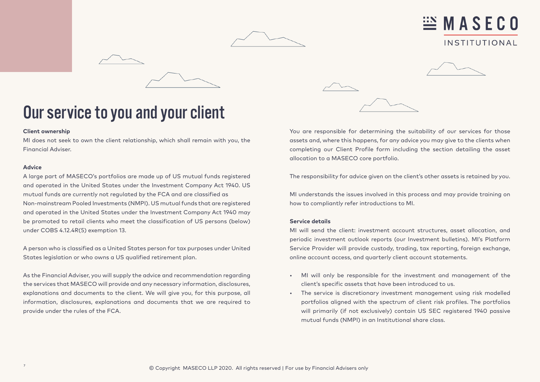

### $\mathbb{Z}$  MASEC0 INSTITUTIONAL



## Our service to you and your client

### **Client ownership**

MI does not seek to own the client relationship, which shall remain with you, the Financial Adviser.

### **Advice**

A large part of MASECO's portfolios are made up of US mutual funds registered and operated in the United States under the Investment Company Act 1940. US mutual funds are currently not regulated by the FCA and are classified as Non-mainstream Pooled Investments (NMPI). US mutual funds that are registered and operated in the United States under the Investment Company Act 1940 may be promoted to retail clients who meet the classification of US persons (below) under COBS 4.12.4R(5) exemption 13.

A person who is classified as a United States person for tax purposes under United States legislation or who owns a US qualified retirement plan.

As the Financial Adviser, you will supply the advice and recommendation regarding the services that MASECO will provide and any necessary information, disclosures, explanations and documents to the client. We will give you, for this purpose, all information, disclosures, explanations and documents that we are required to provide under the rules of the FCA.

You are responsible for determining the suitability of our services for those assets and, where this happens, for any advice you may give to the clients when completing our Client Profile form including the section detailing the asset allocation to a MASECO core portfolio.

The responsibility for advice given on the client's other assets is retained by you.

MI understands the issues involved in this process and may provide training on how to compliantly refer introductions to MI.

### **Service details**

MI will send the client: investment account structures, asset allocation, and periodic investment outlook reports (our Investment bulletins). MI's Platform Service Provider will provide custody, trading, tax reporting, foreign exchange, online account access, and quarterly client account statements.

- MI will only be responsible for the investment and management of the client's specific assets that have been introduced to us.
- The service is discretionary investment management using risk modelled portfolios aligned with the spectrum of client risk profiles. The portfolios will primarily (if not exclusively) contain US SEC registered 1940 passive mutual funds (NMPI) in an Institutional share class.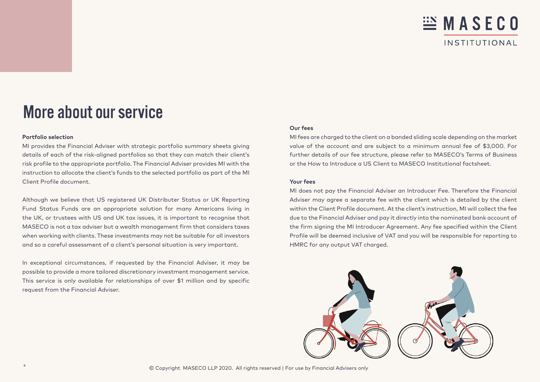### $\cong$  MASECO INSTITUTIONAL

## More about our service

### **Portfolio selection**

MI provides the Financial Adviser with strategic portfolio summary sheets giving details of each of the risk-aligned portfolios so that they can match their client's risk profile to the appropriate portfolio. The Financial Adviser provides MI with the instruction to allocate the client's funds to the selected portfolio as part of the MI Client Profile document.

Although we believe that US registered UK Distributer Status or UK Reporting Fund Status Funds are an appropriate solution for many Americans living in the UK, or trustees with US and UK tax issues, it is important to recognise that MASECO is not a tax adviser but a wealth management firm that considers taxes when working with clients. These investments may not be suitable for all investors and so a careful assessment of a client's personal situation is very important.

In exceptional circumstances, if requested by the Financial Adviser, it may be possible to provide a more tailored discretionary investment management service. This service is only available for relationships of over \$1 million and by specific request from the Financial Adviser.

### **Our fees**

MI fees are charged to the client on a banded sliding scale depending on the market value of the account and are subject to a minimum annual fee of \$3,000. For further details of our fee structure, please refer to MASECO's Terms of Business or the How to Introduce a US Client to MASECO Institutional factsheet.

### **Your fees**

MI does not pay the Financial Adviser an Introducer Fee. Therefore the Financial Adviser may agree a separate fee with the client which is detailed by the client within the Client Profile document. At the client's instruction, MI will collect the fee due to the Financial Adviser and pay it directly into the nominated bank account of the firm signing the MI Introducer Agreement. Any fee specified within the Client Profile will be deemed inclusive of VAT and you will be responsible for reporting to HMRC for any output VAT charged.

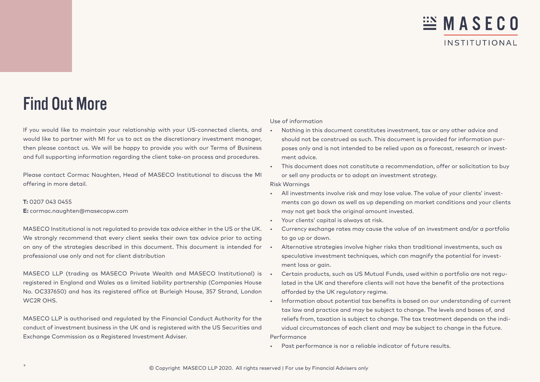**EMASECO** INSTITUTIONAL

## Find Out More

If you would like to maintain your relationship with your US-connected clients, and would like to partner with MI for us to act as the discretionary investment manager, then please contact us. We will be happy to provide you with our Terms of Business and full supporting information regarding the client take-on process and procedures.

Please contact Cormac Naughten, Head of MASECO Institutional to discuss the MI offering in more detail.

#### **T:** 0207 043 0455

**E:** cormac.naughten@masecopw.com

MASECO Institutional is not regulated to provide tax advice either in the US or the UK. .. We strongly recommend that every client seeks their own tax advice prior to acting on any of the strategies described in this document. This document is intended for professional use only and not for client distribution

MASECO LLP (trading as MASECO Private Wealth and MASECO Institutional) is registered in England and Wales as a limited liability partnership (Companies House No. OC337650) and has its registered office at Burleigh House, 357 Strand, London WC2R OHS.

MASECO LLP is authorised and regulated by the Financial Conduct Authority for the conduct of investment business in the UK and is registered with the US Securities and Exchange Commission as a Registered Investment Adviser.

#### Use of information

- Nothing in this document constitutes investment, tax or any other advice and should not be construed as such. This document is provided for information purposes only and is not intended to be relied upon as a forecast, research or investment advice.
- This document does not constitute a recommendation, offer or solicitation to buy or sell any products or to adopt an investment strategy.

Risk Warnings

- All investments involve risk and may lose value. The value of your clients' investments can go down as well as up depending on market conditions and your clients may not get back the original amount invested.
- Your clients' capital is always at risk.
- Currency exchange rates may cause the value of an investment and/or a portfolio to go up or down.
- Alternative strategies involve higher risks than traditional investments, such as speculative investment techniques, which can magnify the potential for investment loss or gain.
- Certain products, such as US Mutual Funds, used within a portfolio are not regulated in the UK and therefore clients will not have the benefit of the protections afforded by the UK regulatory regime.
- Information about potential tax benefits is based on our understanding of current tax law and practice and may be subject to change. The levels and bases of, and reliefs from, taxation is subject to change. The tax treatment depends on the individual circumstances of each client and may be subject to change in the future. Performance
- Past performance is nor a reliable indicator of future results.